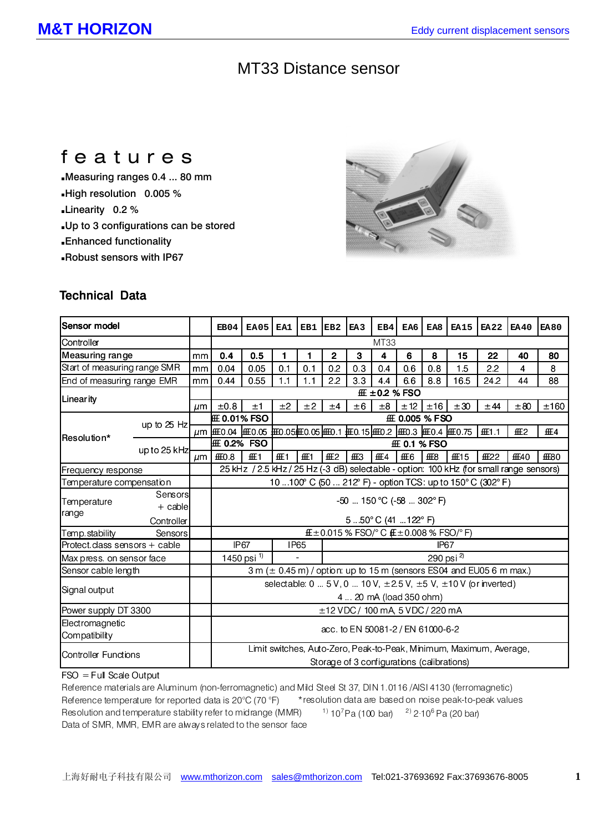## MT33 Distance sensor

# features

Measuring ranges 0.4 ... 80 mm High resolution 0.005 % Linearity 0.2 % Up to 3 configurations can be stored Enhanced functionality Robust sensors with IP67



### **Technical Data**

| Sensor model                  |              |         | EB04                                                                                    | EA05 | EA1  | EB1  | EB <sub>2</sub> | EA <sub>3</sub> | EB4 | EA6   | EA8 | <b>EA15</b> | <b>EA22</b> | <b>EA40</b>    | <b>EA80</b>    |
|-------------------------------|--------------|---------|-----------------------------------------------------------------------------------------|------|------|------|-----------------|-----------------|-----|-------|-----|-------------|-------------|----------------|----------------|
| Controller                    |              |         | MT33                                                                                    |      |      |      |                 |                 |     |       |     |             |             |                |                |
| Measuring range               |              | mm      | 0.4                                                                                     | 0.5  | 1    |      | $\mathbf{2}$    | 3               | 4   | 6     | 8   | 15          | 22          | 40             | 80             |
| Start of measuring range SMR  |              | mm      | 0.04                                                                                    | 0.05 | 0.1  | 0.1  | 0.2             | 0.3             | 0.4 | 0.6   | 0.8 | 1.5         | 2.2         | 4              | 8              |
| End of measuring range EMR    |              | mm      | 0.44                                                                                    | 0.55 | 1.1  | 1.1  | 2.2             | 3.3             | 4.4 | 6.6   | 8.8 | 16.5        | 24.2        | 44             | 88             |
| Linearity                     |              |         | $±0.2$ % FSO                                                                            |      |      |      |                 |                 |     |       |     |             |             |                |                |
|                               |              | µm      | ±0.8                                                                                    | ±1   | ±2   | ±2   | ±4              | ±6              | ±8  | $+12$ | ±16 | ±30         | ±44         | ±80            | ±160           |
| up to $25$ Hz                 |              |         | 0.01% FSO<br>0.005 % FSO                                                                |      |      |      |                 |                 |     |       |     |             |             |                |                |
| Resolution*                   |              | $\mu$ m | 004                                                                                     | 0.05 | 0.05 | 0.05 | 0.1             | 0.15            | 0.2 | 0.3   | 0.4 | 0.75        | 1.1         | $\overline{2}$ | $\overline{4}$ |
|                               | up to 25 kHz |         | 0.2% FSO<br>0.1 % FSO                                                                   |      |      |      |                 |                 |     |       |     |             |             |                |                |
|                               |              | µm      | 0.8                                                                                     |      |      |      | $\mathcal{P}$   | 3               | 4   | 6     | 8   | 15          | 22          | 40             | 80             |
| Frequency response            |              |         | 25 kHz / 2.5 kHz / 25 Hz (-3 dB) selectable - option: 100 kHz (for small range sensors) |      |      |      |                 |                 |     |       |     |             |             |                |                |
| Temperature compensation      |              |         | 10  100° C (50  212° F) - option TCS: up to 150° C (302° F)                             |      |      |      |                 |                 |     |       |     |             |             |                |                |
| Temperature<br>range          | Sensors      |         | $-50$ 150 °C ( $-58$ 302°F)                                                             |      |      |      |                 |                 |     |       |     |             |             |                |                |
|                               | $+$ cable    |         |                                                                                         |      |      |      |                 |                 |     |       |     |             |             |                |                |
|                               | Controller   |         | 550°C (41122°F)                                                                         |      |      |      |                 |                 |     |       |     |             |             |                |                |
| Temp.stability<br>Sensors     |              |         | $\pm 0.015$ % FSO/ $^{\circ}$ C ( $\pm 0.008$ % FSO/ $^{\circ}$ F)                      |      |      |      |                 |                 |     |       |     |             |             |                |                |
| Protect class sensors + cable |              |         | <b>IP67</b><br><b>IP65</b><br>IP <sub>67</sub>                                          |      |      |      |                 |                 |     |       |     |             |             |                |                |
| Max press. on sensor face     |              |         | 1450 psi <sup>1)</sup><br>290 psi $^{2}$                                                |      |      |      |                 |                 |     |       |     |             |             |                |                |
| Sensor cable length           |              |         | 3 m ( $\pm$ 0.45 m) / option: up to 15 m (sensors ES04 and EU05 6 m max.)               |      |      |      |                 |                 |     |       |     |             |             |                |                |
| Signal output                 |              |         | selectable: $0  5 V$ , $0  10 V$ , $\pm 2.5 V$ , $\pm 5 V$ , $\pm 10 V$ (or inverted)   |      |      |      |                 |                 |     |       |     |             |             |                |                |
|                               |              |         | 4  20 mA (load 350 ohm)                                                                 |      |      |      |                 |                 |     |       |     |             |             |                |                |
| Power supply DT 3300          |              |         | $\pm$ 12 VDC / 100 mA, 5 VDC / 220 mA                                                   |      |      |      |                 |                 |     |       |     |             |             |                |                |
| Electromagnetic               |              |         |                                                                                         |      |      |      |                 |                 |     |       |     |             |             |                |                |
| Compatibility                 |              |         | acc. to EN 50081-2 / EN 61000-6-2                                                       |      |      |      |                 |                 |     |       |     |             |             |                |                |
| Controller Functions          |              |         | Limit switches, Auto-Zero, Peak-to-Peak, Minimum, Maximum, Average,                     |      |      |      |                 |                 |     |       |     |             |             |                |                |
|                               |              |         | Storage of 3 configurations (calibrations)                                              |      |      |      |                 |                 |     |       |     |             |             |                |                |
|                               |              |         |                                                                                         |      |      |      |                 |                 |     |       |     |             |             |                |                |

#### FSO = Full Scale Output

Reference materials are Aluminum (non-ferromagnetic) and Mild Steel St 37, DIN 1.0116 /AISI 4130 (ferromagnetic) Reference temperature for reported data is 20°C (70 °F) Resolution and temperature stability refer to midrange (MMR)  $10^{7}$ Pa (100 bar)  $2^{1}$  2·10<sup>6</sup> Pa (20 bar) Data of SMR, MMR, EMR are always related to the sensor face \*resolution data are based on noise peak-to-peak values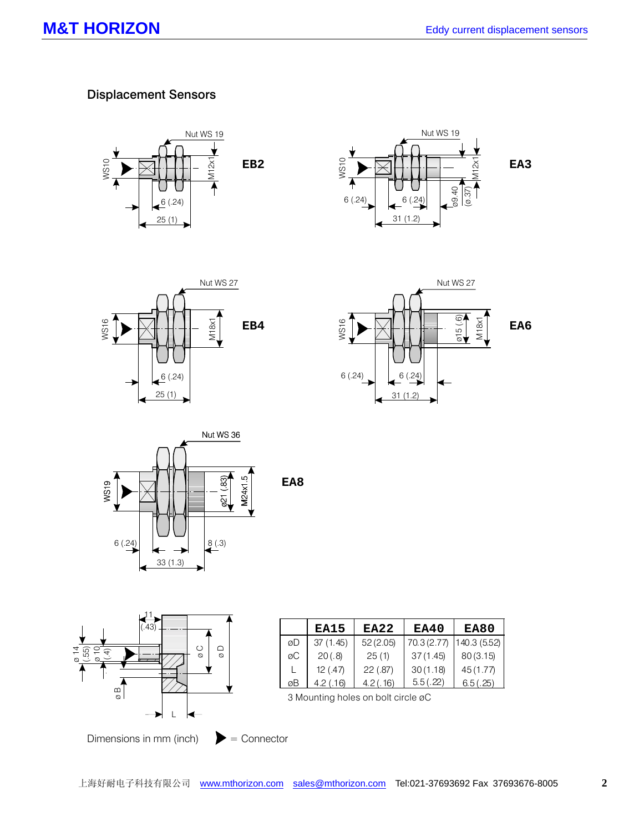### Displacement Sensors





**EA3**





**EA6**



**EA8**



|    | EA15      | <b>EA22</b> | EA40        | EA80         |
|----|-----------|-------------|-------------|--------------|
| øD | 37(1.45)  | 52(2.05)    | 70.3 (2.77) | 140.3 (5.52) |
| øС | 20(.8)    | 25(1)       | 37(1.45)    | 80(3.15)     |
|    | 12(.47)   | 22(.87)     | 30(1.18)    | 45 (1.77)    |
| øВ | 4.2(0.16) | 4.2(.16)    | 5.5(.22)    | 6.5(.25)     |

3 Mounting holes on bolt circle øC

Dimensions in mm (inch)  $\qquad \qquad \blacktriangleright =$  Connector